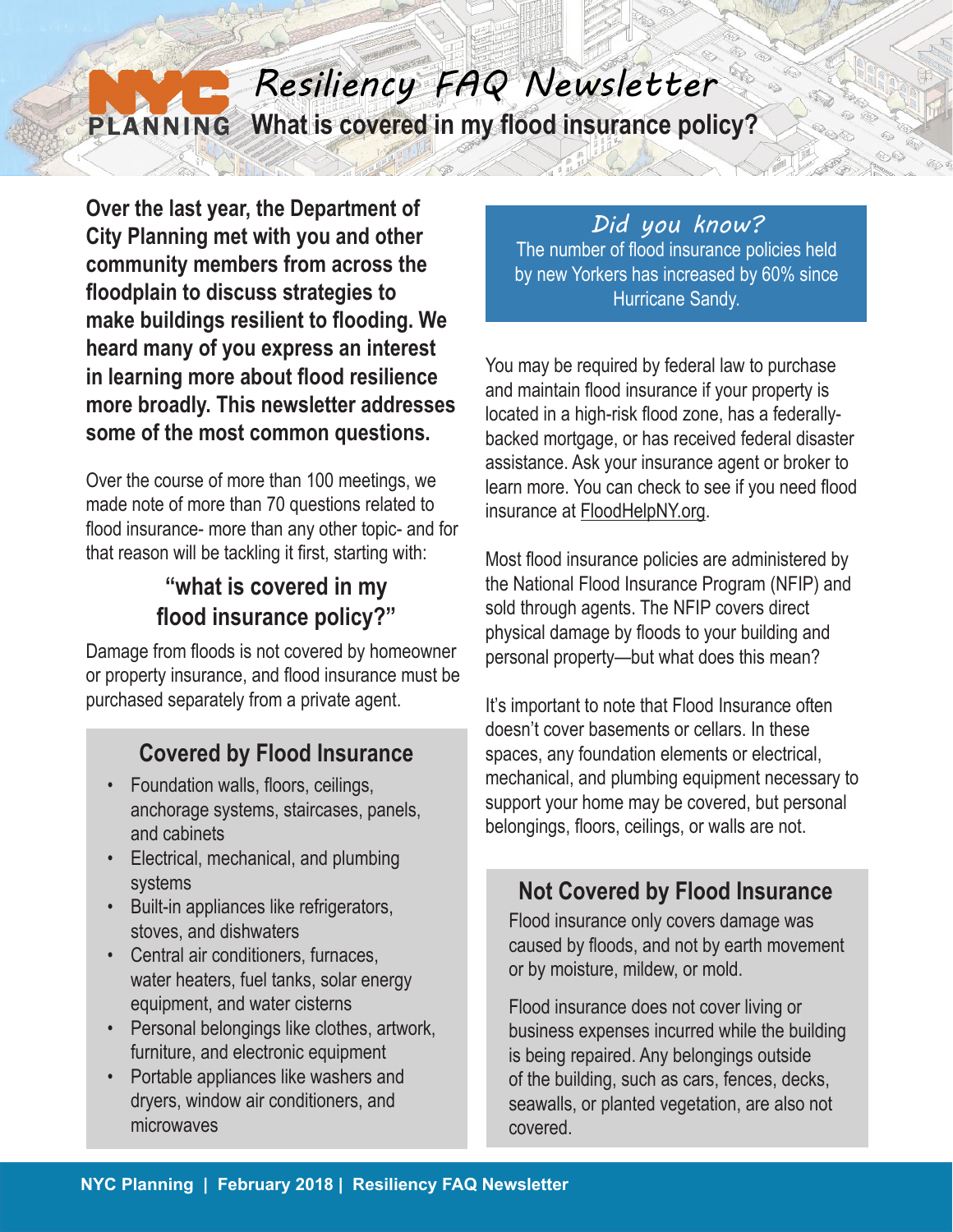# *Resiliency FAQ Newsletter* **PLANNING** What is covered in my flood insurance policy?

**Over the last year, the Department of City Planning met with you and other community members from across the floodplain to discuss strategies to make buildings resilient to flooding. We heard many of you express an interest in learning more about flood resilience more broadly. This newsletter addresses some of the most common questions.**

Over the course of more than 100 meetings, we made note of more than 70 questions related to flood insurance- more than any other topic- and for that reason will be tackling it first, starting with:

# **"what is covered in my flood insurance policy?"**

Damage from floods is not covered by homeowner or property insurance, and flood insurance must be purchased separately from a private agent.

# **Covered by Flood Insurance**

- Foundation walls, floors, ceilings, anchorage systems, staircases, panels, and cabinets
- Electrical, mechanical, and plumbing systems
- Built-in appliances like refrigerators, stoves, and dishwaters
- Central air conditioners, furnaces, water heaters, fuel tanks, solar energy equipment, and water cisterns
- Personal belongings like clothes, artwork, furniture, and electronic equipment
- Portable appliances like washers and dryers, window air conditioners, and microwaves

#### *Did you know?*

The number of flood insurance policies held by new Yorkers has increased by 60% since Hurricane Sandy.

You may be required by federal law to purchase and maintain flood insurance if your property is located in a high-risk flood zone, has a federallybacked mortgage, or has received federal disaster assistance. Ask your insurance agent or broker to learn more. You can check to see if you need flood insurance at FloodHelpNY.org.

Most flood insurance policies are administered by the National Flood Insurance Program (NFIP) and sold through agents. The NFIP covers direct physical damage by floods to your building and personal property—but what does this mean?

It's important to note that Flood Insurance often doesn't cover basements or cellars. In these spaces, any foundation elements or electrical, mechanical, and plumbing equipment necessary to support your home may be covered, but personal belongings, floors, ceilings, or walls are not.

## **Not Covered by Flood Insurance**

Flood insurance only covers damage was caused by floods, and not by earth movement or by moisture, mildew, or mold.

Flood insurance does not cover living or business expenses incurred while the building is being repaired. Any belongings outside of the building, such as cars, fences, decks, seawalls, or planted vegetation, are also not covered.